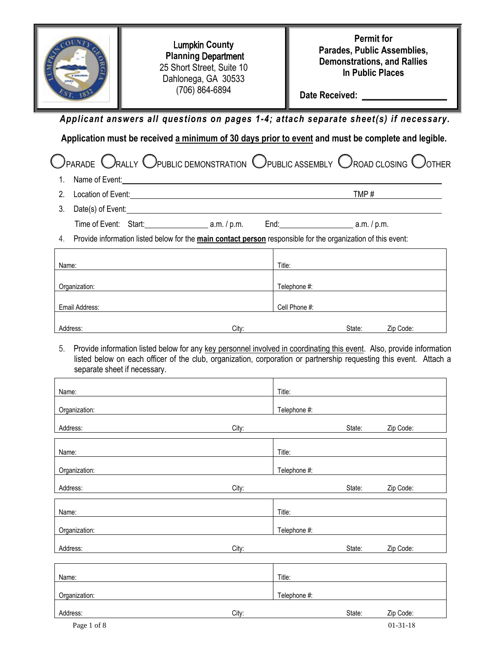| <b>Lumpkin County</b><br><b>Planning Department</b><br>25 Short Street, Suite 10<br>Dahlonega, GA 30533<br>(706) 864-6894                                                                                                                                                                  |                        | <b>Permit for</b><br>Parades, Public Assemblies,<br><b>Demonstrations, and Rallies</b><br>In Public Places                                                                                                                                                                                                                                                                                                                                                                                                                                                                                                                                                                                                                                                                                                                                 |  |  |
|--------------------------------------------------------------------------------------------------------------------------------------------------------------------------------------------------------------------------------------------------------------------------------------------|------------------------|--------------------------------------------------------------------------------------------------------------------------------------------------------------------------------------------------------------------------------------------------------------------------------------------------------------------------------------------------------------------------------------------------------------------------------------------------------------------------------------------------------------------------------------------------------------------------------------------------------------------------------------------------------------------------------------------------------------------------------------------------------------------------------------------------------------------------------------------|--|--|
|                                                                                                                                                                                                                                                                                            |                        |                                                                                                                                                                                                                                                                                                                                                                                                                                                                                                                                                                                                                                                                                                                                                                                                                                            |  |  |
|                                                                                                                                                                                                                                                                                            |                        |                                                                                                                                                                                                                                                                                                                                                                                                                                                                                                                                                                                                                                                                                                                                                                                                                                            |  |  |
|                                                                                                                                                                                                                                                                                            |                        |                                                                                                                                                                                                                                                                                                                                                                                                                                                                                                                                                                                                                                                                                                                                                                                                                                            |  |  |
|                                                                                                                                                                                                                                                                                            |                        |                                                                                                                                                                                                                                                                                                                                                                                                                                                                                                                                                                                                                                                                                                                                                                                                                                            |  |  |
|                                                                                                                                                                                                                                                                                            |                        |                                                                                                                                                                                                                                                                                                                                                                                                                                                                                                                                                                                                                                                                                                                                                                                                                                            |  |  |
|                                                                                                                                                                                                                                                                                            |                        |                                                                                                                                                                                                                                                                                                                                                                                                                                                                                                                                                                                                                                                                                                                                                                                                                                            |  |  |
|                                                                                                                                                                                                                                                                                            |                        |                                                                                                                                                                                                                                                                                                                                                                                                                                                                                                                                                                                                                                                                                                                                                                                                                                            |  |  |
|                                                                                                                                                                                                                                                                                            |                        |                                                                                                                                                                                                                                                                                                                                                                                                                                                                                                                                                                                                                                                                                                                                                                                                                                            |  |  |
|                                                                                                                                                                                                                                                                                            |                        |                                                                                                                                                                                                                                                                                                                                                                                                                                                                                                                                                                                                                                                                                                                                                                                                                                            |  |  |
|                                                                                                                                                                                                                                                                                            |                        |                                                                                                                                                                                                                                                                                                                                                                                                                                                                                                                                                                                                                                                                                                                                                                                                                                            |  |  |
|                                                                                                                                                                                                                                                                                            |                        |                                                                                                                                                                                                                                                                                                                                                                                                                                                                                                                                                                                                                                                                                                                                                                                                                                            |  |  |
|                                                                                                                                                                                                                                                                                            |                        |                                                                                                                                                                                                                                                                                                                                                                                                                                                                                                                                                                                                                                                                                                                                                                                                                                            |  |  |
| City:                                                                                                                                                                                                                                                                                      | State:                 | Zip Code:                                                                                                                                                                                                                                                                                                                                                                                                                                                                                                                                                                                                                                                                                                                                                                                                                                  |  |  |
| 5.<br>Provide information listed below for any key personnel involved in coordinating this event. Also, provide information<br>listed below on each officer of the club, organization, corporation or partnership requesting this event. Attach a<br>separate sheet if necessary.<br>Name: |                        |                                                                                                                                                                                                                                                                                                                                                                                                                                                                                                                                                                                                                                                                                                                                                                                                                                            |  |  |
|                                                                                                                                                                                                                                                                                            |                        |                                                                                                                                                                                                                                                                                                                                                                                                                                                                                                                                                                                                                                                                                                                                                                                                                                            |  |  |
|                                                                                                                                                                                                                                                                                            |                        |                                                                                                                                                                                                                                                                                                                                                                                                                                                                                                                                                                                                                                                                                                                                                                                                                                            |  |  |
|                                                                                                                                                                                                                                                                                            |                        | Zip Code:                                                                                                                                                                                                                                                                                                                                                                                                                                                                                                                                                                                                                                                                                                                                                                                                                                  |  |  |
|                                                                                                                                                                                                                                                                                            |                        |                                                                                                                                                                                                                                                                                                                                                                                                                                                                                                                                                                                                                                                                                                                                                                                                                                            |  |  |
|                                                                                                                                                                                                                                                                                            |                        |                                                                                                                                                                                                                                                                                                                                                                                                                                                                                                                                                                                                                                                                                                                                                                                                                                            |  |  |
| City:                                                                                                                                                                                                                                                                                      | State:                 | Zip Code:                                                                                                                                                                                                                                                                                                                                                                                                                                                                                                                                                                                                                                                                                                                                                                                                                                  |  |  |
|                                                                                                                                                                                                                                                                                            |                        |                                                                                                                                                                                                                                                                                                                                                                                                                                                                                                                                                                                                                                                                                                                                                                                                                                            |  |  |
|                                                                                                                                                                                                                                                                                            |                        |                                                                                                                                                                                                                                                                                                                                                                                                                                                                                                                                                                                                                                                                                                                                                                                                                                            |  |  |
|                                                                                                                                                                                                                                                                                            | State:                 | Zip Code:                                                                                                                                                                                                                                                                                                                                                                                                                                                                                                                                                                                                                                                                                                                                                                                                                                  |  |  |
|                                                                                                                                                                                                                                                                                            |                        |                                                                                                                                                                                                                                                                                                                                                                                                                                                                                                                                                                                                                                                                                                                                                                                                                                            |  |  |
|                                                                                                                                                                                                                                                                                            |                        |                                                                                                                                                                                                                                                                                                                                                                                                                                                                                                                                                                                                                                                                                                                                                                                                                                            |  |  |
|                                                                                                                                                                                                                                                                                            | Title:                 |                                                                                                                                                                                                                                                                                                                                                                                                                                                                                                                                                                                                                                                                                                                                                                                                                                            |  |  |
| City:                                                                                                                                                                                                                                                                                      | Telephone #:<br>State: | Zip Code:                                                                                                                                                                                                                                                                                                                                                                                                                                                                                                                                                                                                                                                                                                                                                                                                                                  |  |  |
|                                                                                                                                                                                                                                                                                            | City:<br>City:         | Date Received:<br>Applicant answers all questions on pages 1-4; attach separate sheet(s) if necessary.<br>Application must be received a minimum of 30 days prior to event and must be complete and legible.<br>) parade $\bigcirc$ rally $\bigcirc$ public demonstration $\bigcirc$ public assembly $\bigcirc$ road closing $\bigcirc$ other<br>TMP#<br>Date(s) of Event: Note that the set of the set of the set of the set of the set of the set of the set of the set of the set of the set of the set of the set of the set of the set of the set of the set of the set of the set<br>Provide information listed below for the main contact person responsible for the organization of this event:<br>Title:<br>Telephone #:<br>Cell Phone #:<br>Title:<br>Telephone #:<br>State:<br>Title:<br>Telephone #:<br>Title:<br>Telephone #: |  |  |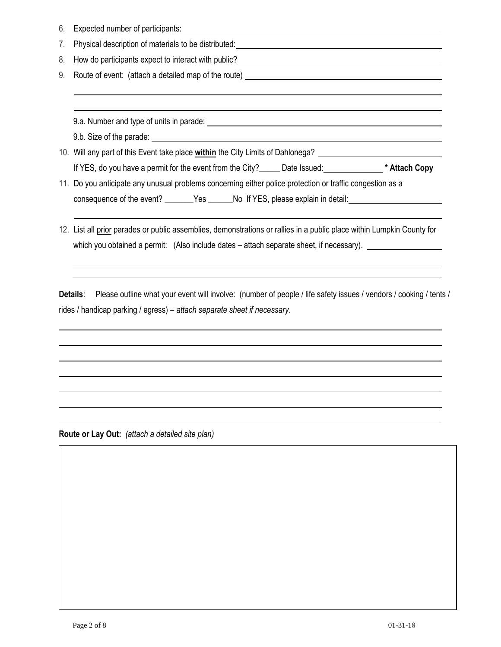| 6. | Expected number of participants: North American American State of American American State of American State of                                                                                                                |
|----|-------------------------------------------------------------------------------------------------------------------------------------------------------------------------------------------------------------------------------|
| 7. | Physical description of materials to be distributed:<br><u>Physical description of materials to be distributed:</u>                                                                                                           |
| 8. | How do participants expect to interact with public?<br><u>Example 2008</u>                                                                                                                                                    |
| 9. |                                                                                                                                                                                                                               |
|    |                                                                                                                                                                                                                               |
|    |                                                                                                                                                                                                                               |
|    | 9.a. Number and type of units in parade: example and the state of the state of the state of the state of the state of the state of the state of the state of the state of the state of the state of the state of the state of |
|    |                                                                                                                                                                                                                               |
|    | 10. Will any part of this Event take place within the City Limits of Dahlonega? _____________________________                                                                                                                 |
|    |                                                                                                                                                                                                                               |
|    | 11. Do you anticipate any unusual problems concerning either police protection or traffic congestion as a                                                                                                                     |
|    | consequence of the event? _______Yes ______No If YES, please explain in detail: ____________________                                                                                                                          |
|    |                                                                                                                                                                                                                               |
|    | 12. List all prior parades or public assemblies, demonstrations or rallies in a public place within Lumpkin County for                                                                                                        |

**Details**: Please outline what your event will involve: (number of people / life safety issues / vendors / cooking / tents / rides / handicap parking / egress) – *attach separate sheet if necessary*.

which you obtained a permit: (Also include dates – attach separate sheet, if necessary). \_\_\_\_\_\_\_\_\_\_\_\_\_\_\_\_\_

**Route or Lay Out:** *(attach a detailed site plan)*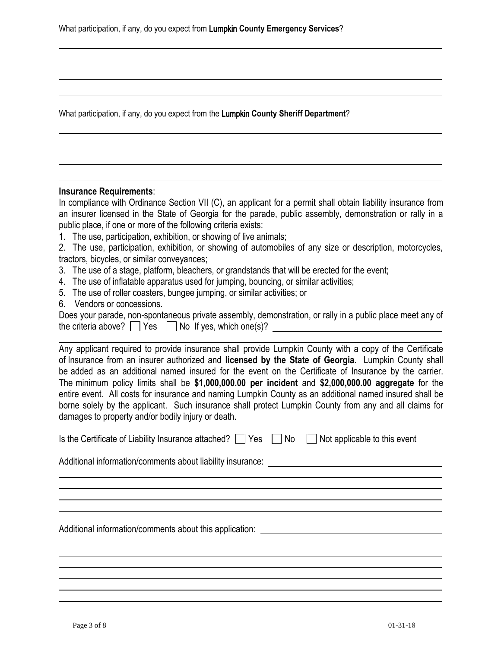What participation, if any, do you expect from the Lumpkin **County Sheriff Department**?

#### **Insurance Requirements**:

In compliance with Ordinance Section VII (C), an applicant for a permit shall obtain liability insurance from an insurer licensed in the State of Georgia for the parade, public assembly, demonstration or rally in a public place, if one or more of the following criteria exists:

1. The use, participation, exhibition, or showing of live animals;

2. The use, participation, exhibition, or showing of automobiles of any size or description, motorcycles, tractors, bicycles, or similar conveyances;

- 3. The use of a stage, platform, bleachers, or grandstands that will be erected for the event;
- 4. The use of inflatable apparatus used for jumping, bouncing, or similar activities;
- 5. The use of roller coasters, bungee jumping, or similar activities; or
- 6. Vendors or concessions.

Does your parade, non-spontaneous private assembly, demonstration, or rally in a public place meet any of the criteria above?  $\Box$  Yes  $\Box$  No If yes, which one(s)?  $\Box$ 

Any applicant required to provide insurance shall provide Lumpkin County with a copy of the Certificate of Insurance from an insurer authorized and **licensed by the State of Georgia**. Lumpkin County shall be added as an additional named insured for the event on the Certificate of Insurance by the carrier. The minimum policy limits shall be **\$1,000,000.00 per incident** and **\$2,000,000.00 aggregate** for the entire event. All costs for insurance and naming Lumpkin County as an additional named insured shall be borne solely by the applicant. Such insurance shall protect Lumpkin County from any and all claims for damages to property and/or bodily injury or death.

| Is the Certificate of Liability Insurance attached? ■ Yes ■ No ■ Not applicable to this event |  |  |  |
|-----------------------------------------------------------------------------------------------|--|--|--|
|-----------------------------------------------------------------------------------------------|--|--|--|

Additional information/comments about liability insurance: \_\_\_\_\_\_\_\_\_\_\_\_\_\_\_\_\_\_\_\_\_\_

Additional information/comments about this application: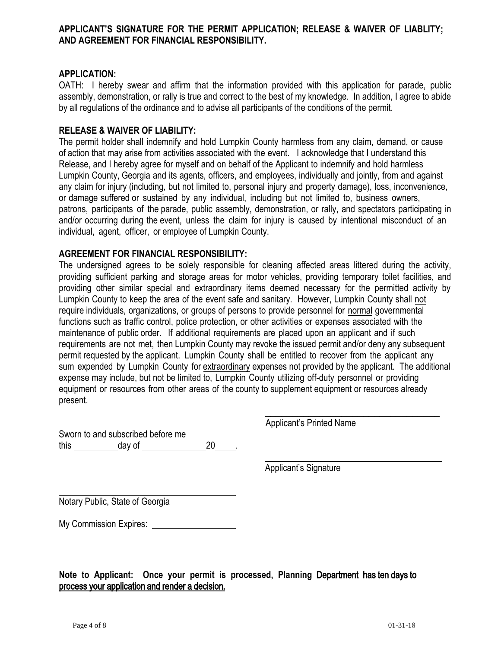### **APPLICANT'S SIGNATURE FOR THE PERMIT APPLICATION; RELEASE & WAIVER OF LIABLITY; AND AGREEMENT FOR FINANCIAL RESPONSIBILITY.**

### **APPLICATION:**

OATH: I hereby swear and affirm that the information provided with this application for parade, public assembly, demonstration, or rally is true and correct to the best of my knowledge. In addition, I agree to abide by all regulations of the ordinance and to advise all participants of the conditions of the permit.

## **RELEASE & WAIVER OF LIABILITY:**

The permit holder shall indemnify and hold Lumpkin County harmless from any claim, demand, or cause of action that may arise from activities associated with the event. I acknowledge that I understand this Release, and I hereby agree for myself and on behalf of the Applicant to indemnify and hold harmless Lumpkin County, Georgia and its agents, officers, and employees, individually and jointly, from and against any claim for injury (including, but not limited to, personal injury and property damage), loss, inconvenience, or damage suffered or sustained by any individual, including but not limited to, business owners, patrons, participants of the parade, public assembly, demonstration, or rally, and spectators participating in and/or occurring during the event, unless the claim for injury is caused by intentional misconduct of an individual, agent, officer, or employee of Lumpkin County.

## **AGREEMENT FOR FINANCIAL RESPONSIBILITY:**

The undersigned agrees to be solely responsible for cleaning affected areas littered during the activity, providing sufficient parking and storage areas for motor vehicles, providing temporary toilet facilities, and providing other similar special and extraordinary items deemed necessary for the permitted activity by Lumpkin County to keep the area of the event safe and sanitary. However, Lumpkin County shall not require individuals, organizations, or groups of persons to provide personnel for normal governmental functions such as traffic control, police protection, or other activities or expenses associated with the maintenance of public order. If additional requirements are placed upon an applicant and if such requirements are not met, then Lumpkin County may revoke the issued permit and/or deny any subsequent permit requested by the applicant. Lumpkin County shall be entitled to recover from the applicant any sum expended by Lumpkin County for extraordinary expenses not provided by the applicant. The additional expense may include, but not be limited to, Lumpkin County utilizing off-duty personnel or providing equipment or resources from other areas of the county to supplement equipment or resources already present.

Sworn to and subscribed before me this day of 20 . Applicant's Printed Name

\_\_\_\_\_\_\_\_\_\_\_\_\_\_\_\_\_\_\_\_\_\_\_\_\_\_\_\_\_\_\_\_

Applicant's Signature

Notary Public, State of Georgia

My Commission Expires:

# **Note to Applicant: Once your permit is processed, Planning** Department has ten days to process your application and render a decision.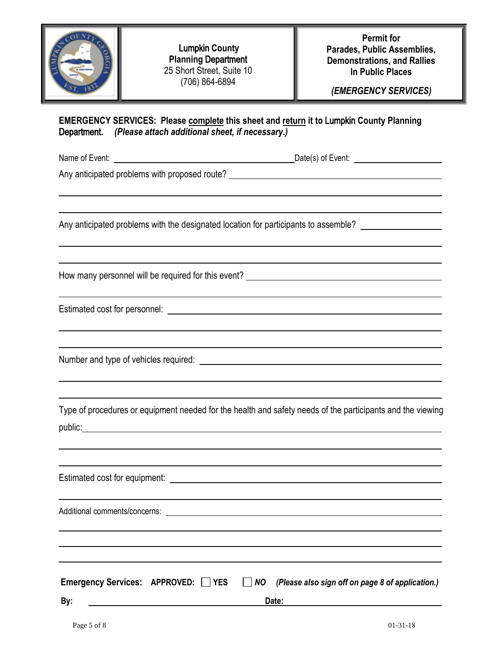|             | <b>Lumpkin County</b><br><b>Planning Department</b><br>25 Short Street, Suite 10<br>(706) 864-6894                                                                                                                                                                                                                                           | <b>Permit for</b><br>Parades, Public Assemblies,<br><b>Demonstrations, and Rallies</b><br><b>In Public Places</b><br>(EMERGENCY SERVICES) |
|-------------|----------------------------------------------------------------------------------------------------------------------------------------------------------------------------------------------------------------------------------------------------------------------------------------------------------------------------------------------|-------------------------------------------------------------------------------------------------------------------------------------------|
|             | <b>EMERGENCY SERVICES: Please complete this sheet and return it to Lumpkin County Planning</b><br>Department. (Please attach additional sheet, if necessary.)                                                                                                                                                                                |                                                                                                                                           |
|             | Name of Event: <u>example and the set of the set of the set of the Date(s)</u> of Event:                                                                                                                                                                                                                                                     |                                                                                                                                           |
|             | Any anticipated problems with proposed route? ___________________________________                                                                                                                                                                                                                                                            |                                                                                                                                           |
|             |                                                                                                                                                                                                                                                                                                                                              |                                                                                                                                           |
|             | Any anticipated problems with the designated location for participants to assemble?                                                                                                                                                                                                                                                          |                                                                                                                                           |
|             |                                                                                                                                                                                                                                                                                                                                              |                                                                                                                                           |
|             | How many personnel will be required for this event?                                                                                                                                                                                                                                                                                          |                                                                                                                                           |
|             |                                                                                                                                                                                                                                                                                                                                              |                                                                                                                                           |
|             |                                                                                                                                                                                                                                                                                                                                              |                                                                                                                                           |
|             |                                                                                                                                                                                                                                                                                                                                              |                                                                                                                                           |
|             |                                                                                                                                                                                                                                                                                                                                              |                                                                                                                                           |
|             |                                                                                                                                                                                                                                                                                                                                              |                                                                                                                                           |
|             | Type of procedures or equipment needed for the health and safety needs of the participants and the viewing<br>public: experience and the contract of the contract of the contract of the contract of the contract of the contract of the contract of the contract of the contract of the contract of the contract of the contract of the con |                                                                                                                                           |
|             |                                                                                                                                                                                                                                                                                                                                              |                                                                                                                                           |
|             |                                                                                                                                                                                                                                                                                                                                              |                                                                                                                                           |
|             |                                                                                                                                                                                                                                                                                                                                              |                                                                                                                                           |
|             |                                                                                                                                                                                                                                                                                                                                              |                                                                                                                                           |
|             |                                                                                                                                                                                                                                                                                                                                              |                                                                                                                                           |
|             |                                                                                                                                                                                                                                                                                                                                              |                                                                                                                                           |
|             | Emergency Services: APPROVED: YES<br>$\Box$ NO                                                                                                                                                                                                                                                                                               | (Please also sign off on page 8 of application.)                                                                                          |
| By:         | Date:                                                                                                                                                                                                                                                                                                                                        |                                                                                                                                           |
| Page 5 of 8 |                                                                                                                                                                                                                                                                                                                                              | $01 - 31 - 18$                                                                                                                            |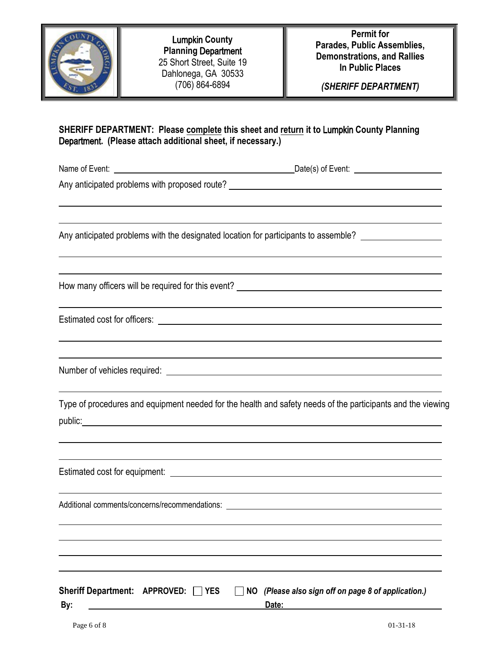

Lumpkin **County Planning** Department 25 Short Street, Suite 19 Dahlonega, GA 30533 (706) 864-6894

**Permit for Parades, Public Assemblies, Demonstrations, and Rallies In Public Places**

*(SHERIFF DEPARTMENT)*

# **SHERIFF DEPARTMENT: Please complete this sheet and return it to** Lumpkin **County Planning** Department**. (Please attach additional sheet, if necessary.)**

Name of Event: Date(s) of Event:

Any anticipated problems with proposed route?

Any anticipated problems with the designated location for participants to assemble?

How many officers will be required for this event?

Estimated cost for officers:

Number of vehicles required:

Type of procedures and equipment needed for the health and safety needs of the participants and the viewing public: the contract of the contract of the contract of the contract of the contract of the contract of the contract of the contract of the contract of the contract of the contract of the contract of the contract of the co

Estimated cost for equipment:

Additional comments/concerns/recommendations: **with a control of the control of the control of the control of the control of the control of the control of the control of the control of the control of the control of the con** 

|     | Sheriff Department: $APPROVED: \Box$ YES | $\Box$ NO (Please also sign off on page 8 of application.) |
|-----|------------------------------------------|------------------------------------------------------------|
| Bv: |                                          | Date:                                                      |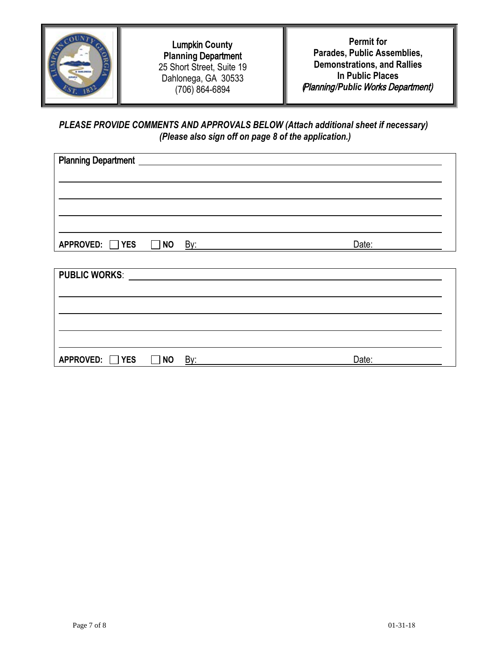

Lumpkin **County Planning** Department 25 Short Street, Suite 19 Dahlonega, GA 30533 (706) 864-6894

**Permit for Parades, Public Assemblies, Demonstrations, and Rallies In Public Places**  *(*Planning*/Public* Works Department)

*PLEASE PROVIDE COMMENTS AND APPROVALS BELOW (Attach additional sheet if necessary) (Please also sign off on page 8 of the application.)* 

| <b>Planning Department</b> |                              |  |
|----------------------------|------------------------------|--|
|                            |                              |  |
| APPROVED: थES NO           | Date:<br><u>By: ________</u> |  |
|                            |                              |  |
|                            |                              |  |
|                            |                              |  |

**APPROVED:** YES **NO** By: **Date:**